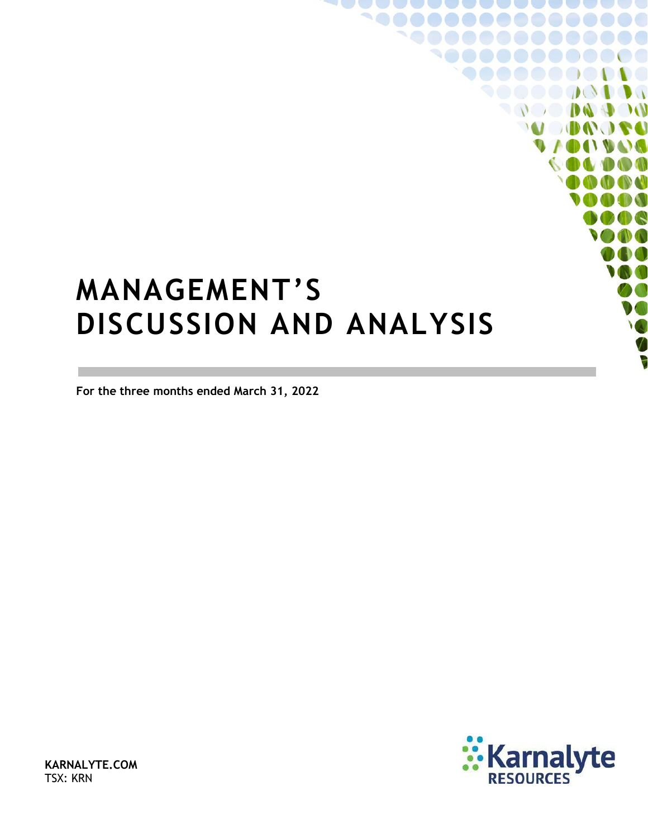# <span id="page-0-0"></span>**MANAGEMENT'S DISCUSSION AND ANALYSIS**

**For the three months ended March 31, 2022**



 $\sqrt{2}$ 

 $\mathcal{W}$ 

 $\bullet$   $\bullet$ 

**ID AT DAT** 

**KARNALYTE.COM** TSX: KRN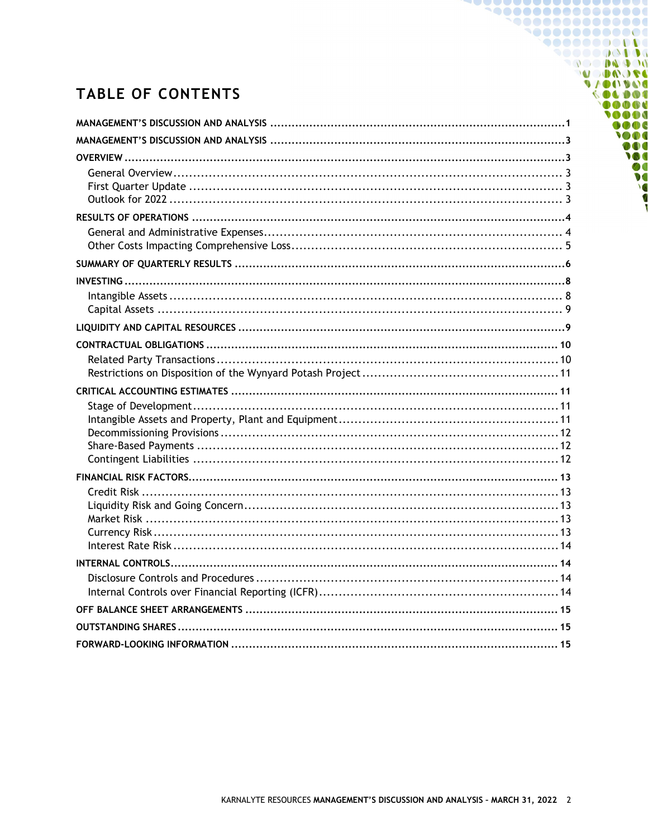# **TABLE OF CONTENTS**

1000000000000 **900000000000** 9000000000 **DO DO DO POO MODUOL** 

00000 10000  $0000$ TOOO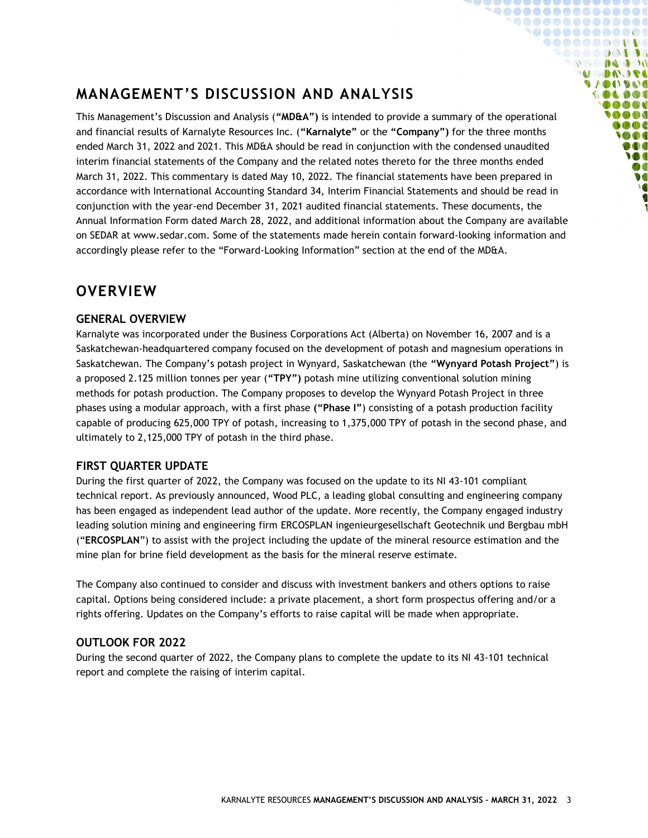# <span id="page-2-0"></span>**MANAGEMENT'S DISCUSSION AND ANALYSIS**

This Management's Discussion and Analysis (**"MD&A")** is intended to provide a summary of the operational and financial results of Karnalyte Resources Inc. (**"Karnalyte"** or the **"Company")** for the three months ended March 31, 2022 and 2021. This MD&A should be read in conjunction with the condensed unaudited interim financial statements of the Company and the related notes thereto for the three months ended March 31, 2022. This commentary is dated May 10, 2022. The financial statements have been prepared in accordance with International Accounting Standard 34, Interim Financial Statements and should be read in conjunction with the year-end December 31, 2021 audited financial statements. These documents, the Annual Information Form dated March 28, 2022, and additional information about the Company are available on SEDAR at www.sedar.com. Some of the statements made herein contain forward-looking information and accordingly please refer to the "Forward-Looking Information" section at the end of the MD&A.

**`@@@@@@@@@@@@@@ `@@@@@@@@@@@ 90000000000** ◥◓◓◓◓◓◶◔▮◑◑ **COMPANY MODO DE UACIDAL** OLDOC **Co Co Co al MAGA** DOC **SOO** DOO **M** Ø  $\bullet$ 

### <span id="page-2-1"></span>**OVERVIEW**

#### <span id="page-2-2"></span>**GENERAL OVERVIEW**

Karnalyte was incorporated under the Business Corporations Act (Alberta) on November 16, 2007 and is a Saskatchewan-headquartered company focused on the development of potash and magnesium operations in Saskatchewan. The Company's potash project in Wynyard, Saskatchewan (the **"Wynyard Potash Project"**) is a proposed 2.125 million tonnes per year (**"TPY")** potash mine utilizing conventional solution mining methods for potash production. The Company proposes to develop the Wynyard Potash Project in three phases using a modular approach, with a first phase **("Phase I"**) consisting of a potash production facility capable of producing 625,000 TPY of potash, increasing to 1,375,000 TPY of potash in the second phase, and ultimately to 2,125,000 TPY of potash in the third phase.

#### <span id="page-2-3"></span>**FIRST QUARTER UPDATE**

During the first quarter of 2022, the Company was focused on the update to its NI 43-101 compliant technical report. As previously announced, Wood PLC, a leading global consulting and engineering company has been engaged as independent lead author of the update. More recently, the Company engaged industry leading solution mining and engineering firm ERCOSPLAN ingenieurgesellschaft Geotechnik und Bergbau mbH ("**ERCOSPLAN**") to assist with the project including the update of the mineral resource estimation and the mine plan for brine field development as the basis for the mineral reserve estimate.

The Company also continued to consider and discuss with investment bankers and others options to raise capital. Options being considered include: a private placement, a short form prospectus offering and/or a rights offering. Updates on the Company's efforts to raise capital will be made when appropriate.

#### <span id="page-2-4"></span>**OUTLOOK FOR 2022**

During the second quarter of 2022, the Company plans to complete the update to its NI 43-101 technical report and complete the raising of interim capital.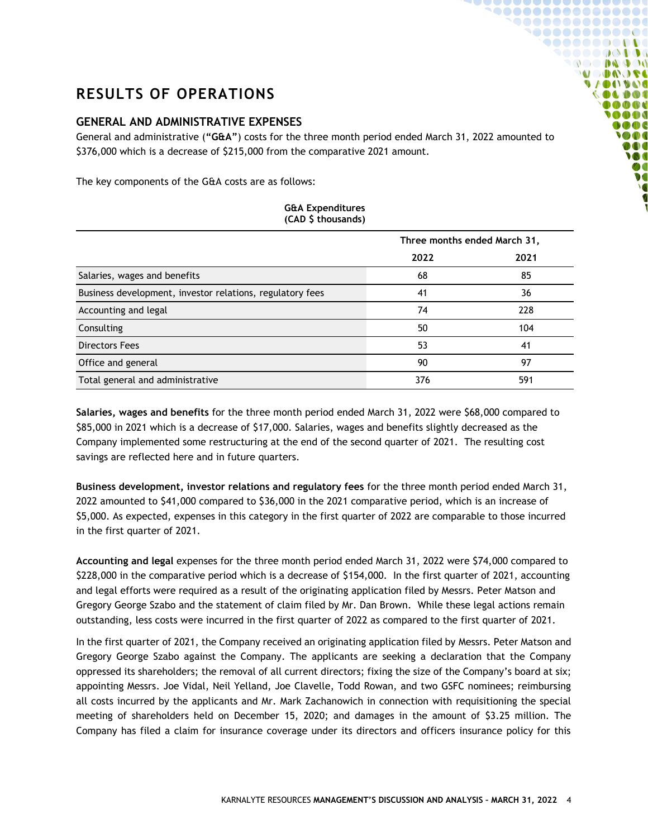# <span id="page-3-0"></span>**RESULTS OF OPERATIONS**

#### <span id="page-3-1"></span>**GENERAL AND ADMINISTRATIVE EXPENSES**

General and administrative (**"G&A"**) costs for the three month period ended March 31, 2022 amounted to \$376,000 which is a decrease of \$215,000 from the comparative 2021 amount.

**~@@@@@@@@@@@@@@@ `@@@@@@@@@@@ 900000000000** ◥◓◓◓◓◙◶◔▮◑◑ **OC DE DO DO MODO DE VAOOVOO COLDOS**  $0 0 0 0 0$ 0000  $\bullet \bullet \bullet$ **SOO** DOO **M** ØO

The key components of the G&A costs are as follows:

| <b>G&amp;A Expenditures</b><br>(CAD \$ thousands)         |      |                              |  |  |
|-----------------------------------------------------------|------|------------------------------|--|--|
|                                                           |      | Three months ended March 31, |  |  |
|                                                           | 2022 | 2021                         |  |  |
| Salaries, wages and benefits                              | 68   | 85                           |  |  |
| Business development, investor relations, regulatory fees | 41   | 36                           |  |  |
| Accounting and legal                                      | 74   | 228                          |  |  |
| Consulting                                                | 50   | 104                          |  |  |
| Directors Fees                                            | 53   | 41                           |  |  |
| Office and general                                        | 90   | 97                           |  |  |
| Total general and administrative                          | 376  | 591                          |  |  |

**Salaries, wages and benefits** for the three month period ended March 31, 2022 were \$68,000 compared to \$85,000 in 2021 which is a decrease of \$17,000. Salaries, wages and benefits slightly decreased as the Company implemented some restructuring at the end of the second quarter of 2021. The resulting cost savings are reflected here and in future quarters.

**Business development, investor relations and regulatory fees** for the three month period ended March 31, 2022 amounted to \$41,000 compared to \$36,000 in the 2021 comparative period, which is an increase of \$5,000. As expected, expenses in this category in the first quarter of 2022 are comparable to those incurred in the first quarter of 2021.

**Accounting and legal** expenses for the three month period ended March 31, 2022 were \$74,000 compared to \$228,000 in the comparative period which is a decrease of \$154,000. In the first quarter of 2021, accounting and legal efforts were required as a result of the originating application filed by Messrs. Peter Matson and Gregory George Szabo and the statement of claim filed by Mr. Dan Brown. While these legal actions remain outstanding, less costs were incurred in the first quarter of 2022 as compared to the first quarter of 2021.

In the first quarter of 2021, the Company received an originating application filed by Messrs. Peter Matson and Gregory George Szabo against the Company. The applicants are seeking a declaration that the Company oppressed its shareholders; the removal of all current directors; fixing the size of the Company's board at six; appointing Messrs. Joe Vidal, Neil Yelland, Joe Clavelle, Todd Rowan, and two GSFC nominees; reimbursing all costs incurred by the applicants and Mr. Mark Zachanowich in connection with requisitioning the special meeting of shareholders held on December 15, 2020; and damages in the amount of \$3.25 million. The Company has filed a claim for insurance coverage under its directors and officers insurance policy for this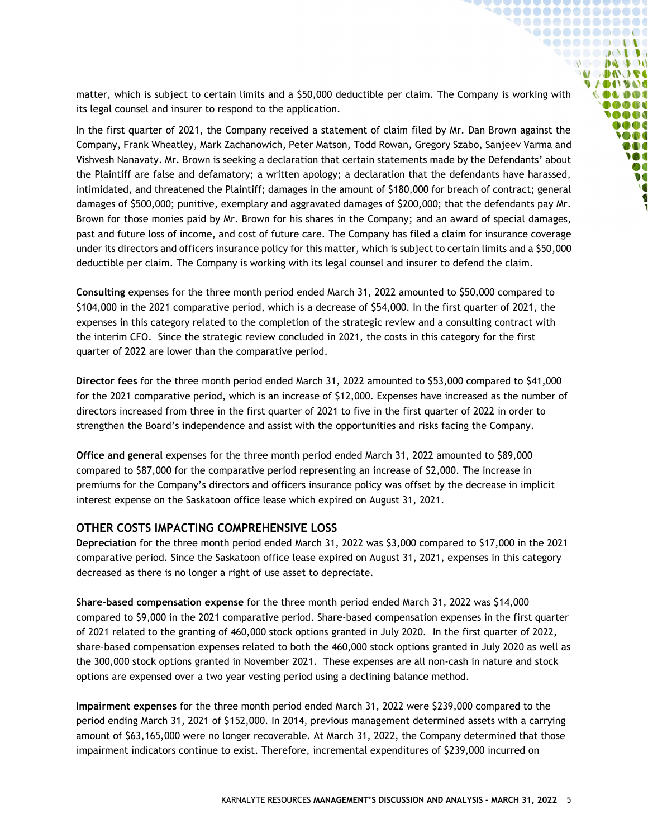matter, which is subject to certain limits and a \$50,000 deductible per claim. The Company is working with its legal counsel and insurer to respond to the application.

**`@@@@@@@@@@@@@@** 1000000000000 **90000000000** ◥◓◓◓◓◓◶◔▮◑◑ **OC DE DO DO MODOOSE VAOOVOO**  $\bullet \bullet \bullet \bullet \bullet \bullet$  $0000$ **OOO**  $0000$ **SOO** DOO **M**  $\boldsymbol{v}$  $\overline{\ }$ 

In the first quarter of 2021, the Company received a statement of claim filed by Mr. Dan Brown against the Company, Frank Wheatley, Mark Zachanowich, Peter Matson, Todd Rowan, Gregory Szabo, Sanjeev Varma and Vishvesh Nanavaty. Mr. Brown is seeking a declaration that certain statements made by the Defendants' about the Plaintiff are false and defamatory; a written apology; a declaration that the defendants have harassed, intimidated, and threatened the Plaintiff; damages in the amount of \$180,000 for breach of contract; general damages of \$500,000; punitive, exemplary and aggravated damages of \$200,000; that the defendants pay Mr. Brown for those monies paid by Mr. Brown for his shares in the Company; and an award of special damages, past and future loss of income, and cost of future care. The Company has filed a claim for insurance coverage under its directors and officers insurance policy for this matter, which is subject to certain limits and a \$50,000 deductible per claim. The Company is working with its legal counsel and insurer to defend the claim.

**Consulting** expenses for the three month period ended March 31, 2022 amounted to \$50,000 compared to \$104,000 in the 2021 comparative period, which is a decrease of \$54,000. In the first quarter of 2021, the expenses in this category related to the completion of the strategic review and a consulting contract with the interim CFO. Since the strategic review concluded in 2021, the costs in this category for the first quarter of 2022 are lower than the comparative period.

**Director fees** for the three month period ended March 31, 2022 amounted to \$53,000 compared to \$41,000 for the 2021 comparative period, which is an increase of \$12,000. Expenses have increased as the number of directors increased from three in the first quarter of 2021 to five in the first quarter of 2022 in order to strengthen the Board's independence and assist with the opportunities and risks facing the Company.

**Office and general** expenses for the three month period ended March 31, 2022 amounted to \$89,000 compared to \$87,000 for the comparative period representing an increase of \$2,000. The increase in premiums for the Company's directors and officers insurance policy was offset by the decrease in implicit interest expense on the Saskatoon office lease which expired on August 31, 2021.

#### <span id="page-4-0"></span>**OTHER COSTS IMPACTING COMPREHENSIVE LOSS**

**Depreciation** for the three month period ended March 31, 2022 was \$3,000 compared to \$17,000 in the 2021 comparative period. Since the Saskatoon office lease expired on August 31, 2021, expenses in this category decreased as there is no longer a right of use asset to depreciate.

**Share-based compensation expense** for the three month period ended March 31, 2022 was \$14,000 compared to \$9,000 in the 2021 comparative period. Share-based compensation expenses in the first quarter of 2021 related to the granting of 460,000 stock options granted in July 2020. In the first quarter of 2022, share-based compensation expenses related to both the 460,000 stock options granted in July 2020 as well as the 300,000 stock options granted in November 2021. These expenses are all non-cash in nature and stock options are expensed over a two year vesting period using a declining balance method.

**Impairment expenses** for the three month period ended March 31, 2022 were \$239,000 compared to the period ending March 31, 2021 of \$152,000. In 2014, previous management determined assets with a carrying amount of \$63,165,000 were no longer recoverable. At March 31, 2022, the Company determined that those impairment indicators continue to exist. Therefore, incremental expenditures of \$239,000 incurred on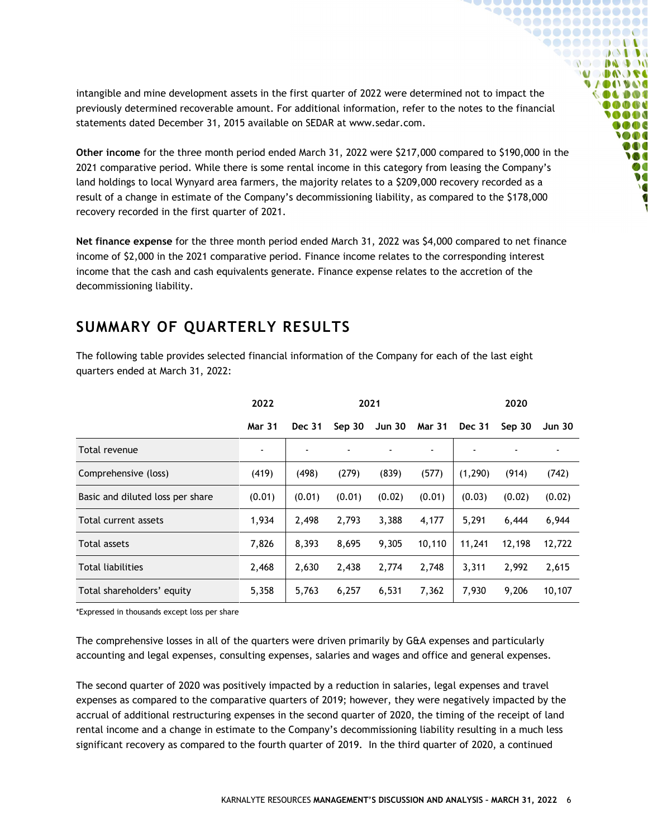intangible and mine development assets in the first quarter of 2022 were determined not to impact the previously determined recoverable amount. For additional information, refer to the notes to the financial statements dated December 31, 2015 available on SEDAR at [www.sedar.com.](http://www.sedar.com/)

**........** 

 $\mathbf{U}$ **DODD**O  $\begin{array}{c} \bullet & \bullet & \bullet \\ \bullet & \bullet & \bullet \end{array}$ **MODA OFE** 

**Co Co Co di** 

 $\bullet$   $\bullet$   $\bullet$ ON DOO **M**  $\boldsymbol{v}$ **V** 

**Other income** for the three month period ended March 31, 2022 were \$217,000 compared to \$190,000 in the 2021 comparative period. While there is some rental income in this category from leasing the Company's land holdings to local Wynyard area farmers, the majority relates to a \$209,000 recovery recorded as a result of a change in estimate of the Company's decommissioning liability, as compared to the \$178,000 recovery recorded in the first quarter of 2021.

**Net finance expense** for the three month period ended March 31, 2022 was \$4,000 compared to net finance income of \$2,000 in the 2021 comparative period. Finance income relates to the corresponding interest income that the cash and cash equivalents generate. Finance expense relates to the accretion of the decommissioning liability.

## <span id="page-5-0"></span>**SUMMARY OF QUARTERLY RESULTS**

The following table provides selected financial information of the Company for each of the last eight quarters ended at March 31, 2022:

|                                  | 2022           | 2021          |        |               | 2020          |               |        |               |
|----------------------------------|----------------|---------------|--------|---------------|---------------|---------------|--------|---------------|
|                                  | <b>Mar 31</b>  | <b>Dec 31</b> | Sep 30 | <b>Jun 30</b> | <b>Mar 31</b> | <b>Dec 31</b> | Sep 30 | <b>Jun 30</b> |
| Total revenue                    | $\blacksquare$ | ۰             |        |               |               |               |        |               |
| Comprehensive (loss)             | (419)          | (498)         | (279)  | (839)         | (577)         | (1, 290)      | (914)  | (742)         |
| Basic and diluted loss per share | (0.01)         | (0.01)        | (0.01) | (0.02)        | (0.01)        | (0.03)        | (0.02) | (0.02)        |
| Total current assets             | 1,934          | 2,498         | 2,793  | 3,388         | 4,177         | 5,291         | 6,444  | 6,944         |
| Total assets                     | 7,826          | 8,393         | 8,695  | 9,305         | 10,110        | 11,241        | 12,198 | 12,722        |
| <b>Total liabilities</b>         | 2,468          | 2,630         | 2,438  | 2,774         | 2,748         | 3,311         | 2,992  | 2,615         |
| Total shareholders' equity       | 5,358          | 5,763         | 6,257  | 6,531         | 7,362         | 7,930         | 9,206  | 10,107        |

\*Expressed in thousands except loss per share

The comprehensive losses in all of the quarters were driven primarily by G&A expenses and particularly accounting and legal expenses, consulting expenses, salaries and wages and office and general expenses.

The second quarter of 2020 was positively impacted by a reduction in salaries, legal expenses and travel expenses as compared to the comparative quarters of 2019; however, they were negatively impacted by the accrual of additional restructuring expenses in the second quarter of 2020, the timing of the receipt of land rental income and a change in estimate to the Company's decommissioning liability resulting in a much less significant recovery as compared to the fourth quarter of 2019. In the third quarter of 2020, a continued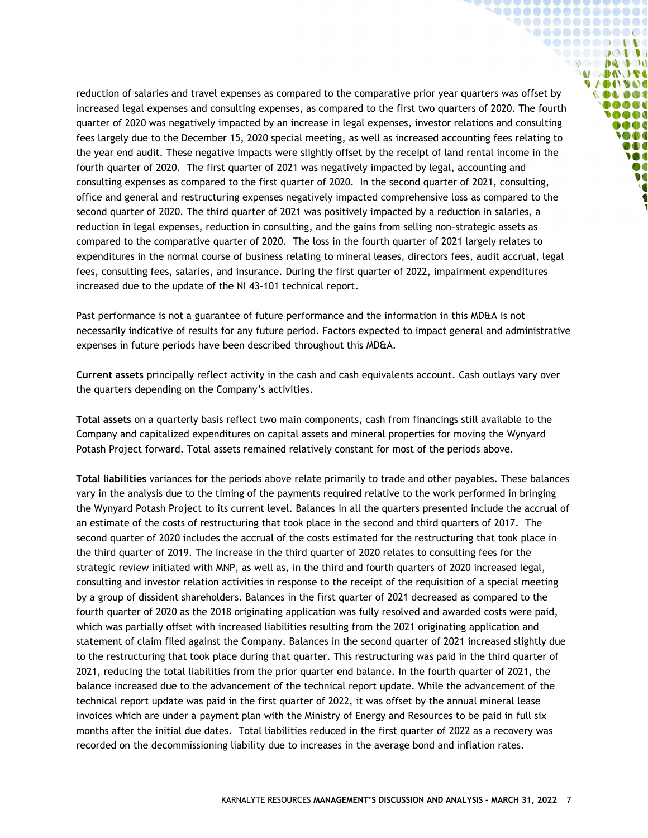reduction of salaries and travel expenses as compared to the comparative prior year quarters was offset by increased legal expenses and consulting expenses, as compared to the first two quarters of 2020. The fourth quarter of 2020 was negatively impacted by an increase in legal expenses, investor relations and consulting fees largely due to the December 15, 2020 special meeting, as well as increased accounting fees relating to the year end audit. These negative impacts were slightly offset by the receipt of land rental income in the fourth quarter of 2020. The first quarter of 2021 was negatively impacted by legal, accounting and consulting expenses as compared to the first quarter of 2020. In the second quarter of 2021, consulting, office and general and restructuring expenses negatively impacted comprehensive loss as compared to the second quarter of 2020. The third quarter of 2021 was positively impacted by a reduction in salaries, a reduction in legal expenses, reduction in consulting, and the gains from selling non-strategic assets as compared to the comparative quarter of 2020. The loss in the fourth quarter of 2021 largely relates to expenditures in the normal course of business relating to mineral leases, directors fees, audit accrual, legal fees, consulting fees, salaries, and insurance. During the first quarter of 2022, impairment expenditures increased due to the update of the NI 43-101 technical report.

**`@@@@@@@@@@@@@@@** 1000000000000 **900000000000** SOOOOQODOG **OC DE DO DO MODUON VAOOVOO** 000000 0000 ..... **MOGC SOO** 000 **IO**  $\bullet$  $\overline{\ }$ 

Past performance is not a guarantee of future performance and the information in this MD&A is not necessarily indicative of results for any future period. Factors expected to impact general and administrative expenses in future periods have been described throughout this MD&A.

**Current assets** principally reflect activity in the cash and cash equivalents account. Cash outlays vary over the quarters depending on the Company's activities.

**Total assets** on a quarterly basis reflect two main components, cash from financings still available to the Company and capitalized expenditures on capital assets and mineral properties for moving the Wynyard Potash Project forward. Total assets remained relatively constant for most of the periods above.

**Total liabilities** variances for the periods above relate primarily to trade and other payables. These balances vary in the analysis due to the timing of the payments required relative to the work performed in bringing the Wynyard Potash Project to its current level. Balances in all the quarters presented include the accrual of an estimate of the costs of restructuring that took place in the second and third quarters of 2017. The second quarter of 2020 includes the accrual of the costs estimated for the restructuring that took place in the third quarter of 2019. The increase in the third quarter of 2020 relates to consulting fees for the strategic review initiated with MNP, as well as, in the third and fourth quarters of 2020 increased legal, consulting and investor relation activities in response to the receipt of the requisition of a special meeting by a group of dissident shareholders. Balances in the first quarter of 2021 decreased as compared to the fourth quarter of 2020 as the 2018 originating application was fully resolved and awarded costs were paid, which was partially offset with increased liabilities resulting from the 2021 originating application and statement of claim filed against the Company. Balances in the second quarter of 2021 increased slightly due to the restructuring that took place during that quarter. This restructuring was paid in the third quarter of 2021, reducing the total liabilities from the prior quarter end balance. In the fourth quarter of 2021, the balance increased due to the advancement of the technical report update. While the advancement of the technical report update was paid in the first quarter of 2022, it was offset by the annual mineral lease invoices which are under a payment plan with the Ministry of Energy and Resources to be paid in full six months after the initial due dates. Total liabilities reduced in the first quarter of 2022 as a recovery was recorded on the decommissioning liability due to increases in the average bond and inflation rates.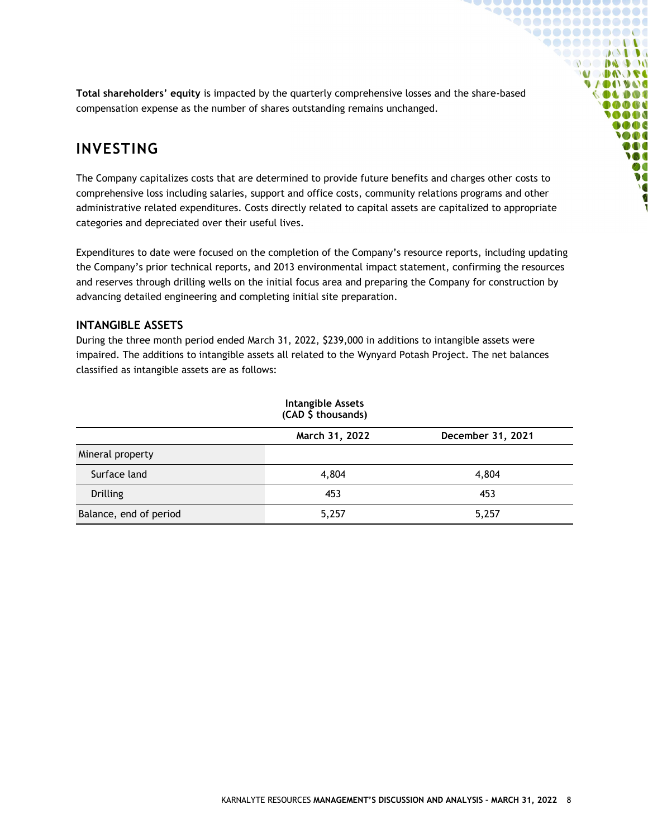**Total shareholders' equity** is impacted by the quarterly comprehensive losses and the share-based compensation expense as the number of shares outstanding remains unchanged.

**`@@@@@@@@@@@@@@**  $0000000000000000$ 1000000000000  $\bullet\bullet\bullet\bullet\bullet\bullet\bullet\bullet\bullet\bullet\bullet$ ◥◓◓◓◓◓◶◔≬◑◑ **COMPANY MODO DE VAOOVOO COLDOS OO OD OD A AAA**  $\bullet \bullet \bullet$ **SOO** DOO **M**  $\boldsymbol{v}$  $\overline{\ }$ K

## <span id="page-7-0"></span>**INVESTING**

The Company capitalizes costs that are determined to provide future benefits and charges other costs to comprehensive loss including salaries, support and office costs, community relations programs and other administrative related expenditures. Costs directly related to capital assets are capitalized to appropriate categories and depreciated over their useful lives.

Expenditures to date were focused on the completion of the Company's resource reports, including updating the Company's prior technical reports, and 2013 environmental impact statement, confirming the resources and reserves through drilling wells on the initial focus area and preparing the Company for construction by advancing detailed engineering and completing initial site preparation.

#### <span id="page-7-1"></span>**INTANGIBLE ASSETS**

During the three month period ended March 31, 2022, \$239,000 in additions to intangible assets were impaired. The additions to intangible assets all related to the Wynyard Potash Project. The net balances classified as intangible assets are as follows:

<span id="page-7-2"></span>

| <b>Intangible Assets</b><br>(CAD \$ thousands) |                |                   |  |  |
|------------------------------------------------|----------------|-------------------|--|--|
|                                                | March 31, 2022 | December 31, 2021 |  |  |
| Mineral property                               |                |                   |  |  |
| Surface land                                   | 4,804          | 4,804             |  |  |
| <b>Drilling</b>                                | 453            | 453               |  |  |
| Balance, end of period                         | 5,257          | 5,257             |  |  |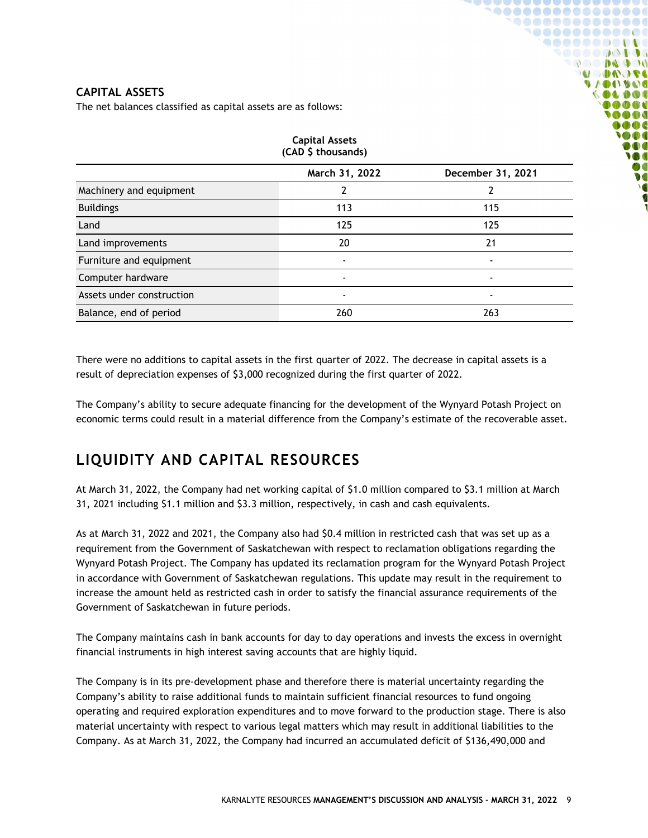#### **CAPITAL ASSETS**

The net balances classified as capital assets are as follows:

| <b>Capital Assets</b><br>(CAD \$ thousands) |                |                   |  |  |
|---------------------------------------------|----------------|-------------------|--|--|
|                                             | March 31, 2022 | December 31, 2021 |  |  |
| Machinery and equipment                     | 2              | 2                 |  |  |
| <b>Buildings</b>                            | 113            | 115               |  |  |
| Land                                        | 125            | 125               |  |  |
| Land improvements                           | 20             | 21                |  |  |
| Furniture and equipment                     | $\blacksquare$ | $\blacksquare$    |  |  |
| Computer hardware                           |                |                   |  |  |
| Assets under construction                   | $\blacksquare$ | $\blacksquare$    |  |  |
| Balance, end of period                      | 260            | 263               |  |  |

**`@@@@@@@@@@@@@@**  ${\small \begin{array}{c} \bullet\bullet\bullet\bullet\bullet\bullet\bullet\bullet\bullet\bullet\bullet\bullet\bullet\bullet\bullet\bullet\end{array}}$ **`@@@@@@@@@@@ 90000000000** ◥◓◓◓◓◙◶◔▮◑◑ **DO DA DO MODAGE UACIDAL** OLDOC  $0 0 0 0 0$ 0000  $\bullet$ **SOO DO M** 

There were no additions to capital assets in the first quarter of 2022. The decrease in capital assets is a result of depreciation expenses of \$3,000 recognized during the first quarter of 2022.

The Company's ability to secure adequate financing for the development of the Wynyard Potash Project on economic terms could result in a material difference from the Company's estimate of the recoverable asset.

# <span id="page-8-0"></span>**LIQUIDITY AND CAPITAL RESOURCES**

At March 31, 2022, the Company had net working capital of \$1.0 million compared to \$3.1 million at March 31, 2021 including \$1.1 million and \$3.3 million, respectively, in cash and cash equivalents.

As at March 31, 2022 and 2021, the Company also had \$0.4 million in restricted cash that was set up as a requirement from the Government of Saskatchewan with respect to reclamation obligations regarding the Wynyard Potash Project. The Company has updated its reclamation program for the Wynyard Potash Project in accordance with Government of Saskatchewan regulations. This update may result in the requirement to increase the amount held as restricted cash in order to satisfy the financial assurance requirements of the Government of Saskatchewan in future periods.

The Company maintains cash in bank accounts for day to day operations and invests the excess in overnight financial instruments in high interest saving accounts that are highly liquid.

The Company is in its pre-development phase and therefore there is material uncertainty regarding the Company's ability to raise additional funds to maintain sufficient financial resources to fund ongoing operating and required exploration expenditures and to move forward to the production stage. There is also material uncertainty with respect to various legal matters which may result in additional liabilities to the Company. As at March 31, 2022, the Company had incurred an accumulated deficit of \$136,490,000 and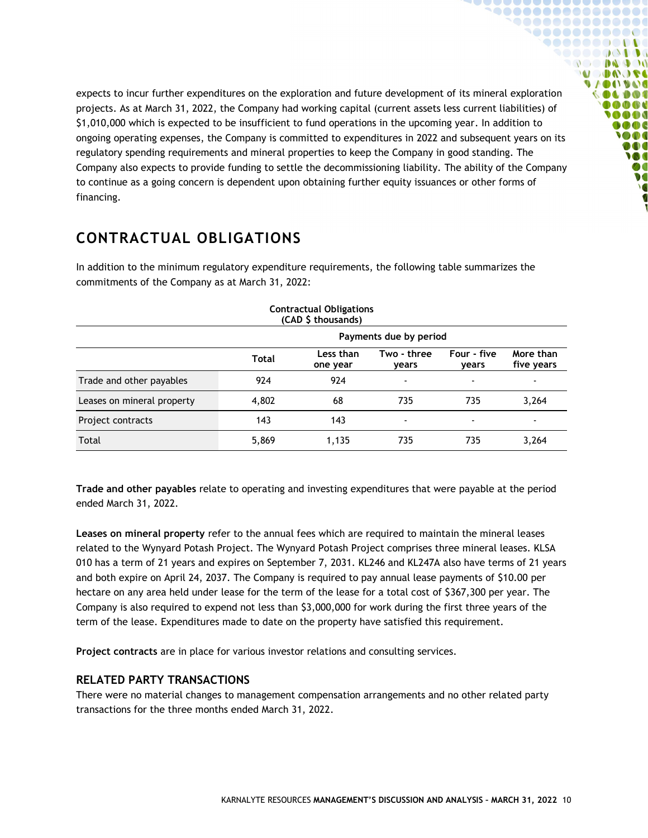expects to incur further expenditures on the exploration and future development of its mineral exploration projects. As at March 31, 2022, the Company had working capital (current assets less current liabilities) of \$1,010,000 which is expected to be insufficient to fund operations in the upcoming year. In addition to ongoing operating expenses, the Company is committed to expenditures in 2022 and subsequent years on its regulatory spending requirements and mineral properties to keep the Company in good standing. The Company also expects to provide funding to settle the decommissioning liability. The ability of the Company to continue as a going concern is dependent upon obtaining further equity issuances or other forms of financing.

<u>CAAAAAAAAAAAAA</u> **........** 

 $\mathbf{U}$ 

. . . . . . . . . . .  $\begin{array}{c} \bullet & \bullet & \bullet \\ \bullet & \bullet & \bullet \end{array}$ **MODA OFE UACHINA A** DO **0000 MA**  $\bullet \bullet \bullet$  $\bigcirc$  then DOO **M**  $\boldsymbol{v}$ **V** 

# <span id="page-9-0"></span>**CONTRACTUAL OBLIGATIONS**

In addition to the minimum regulatory expenditure requirements, the following table summarizes the commitments of the Company as at March 31, 2022:

|                            |                        | <b>Contractual Obligations</b><br>(CAD \$ thousands) |                          |                          |                          |
|----------------------------|------------------------|------------------------------------------------------|--------------------------|--------------------------|--------------------------|
|                            | Payments due by period |                                                      |                          |                          |                          |
|                            | Total                  | Less than<br>one year                                | Two - three<br>vears     | Four - five<br>years     | More than<br>five years  |
| Trade and other payables   | 924                    | 924                                                  | $\overline{\phantom{a}}$ | $\overline{\phantom{a}}$ | $\overline{\phantom{0}}$ |
| Leases on mineral property | 4,802                  | 68                                                   | 735                      | 735                      | 3,264                    |
| Project contracts          | 143                    | 143                                                  | $\overline{\phantom{a}}$ | $\overline{\phantom{a}}$ |                          |
| Total                      | 5,869                  | 1,135                                                | 735                      | 735                      | 3,264                    |

**Trade and other payables** relate to operating and investing expenditures that were payable at the period ended March 31, 2022.

**Leases on mineral property** refer to the annual fees which are required to maintain the mineral leases related to the Wynyard Potash Project. The Wynyard Potash Project comprises three mineral leases. KLSA 010 has a term of 21 years and expires on September 7, 2031. KL246 and KL247A also have terms of 21 years and both expire on April 24, 2037. The Company is required to pay annual lease payments of \$10.00 per hectare on any area held under lease for the term of the lease for a total cost of \$367,300 per year. The Company is also required to expend not less than \$3,000,000 for work during the first three years of the term of the lease. Expenditures made to date on the property have satisfied this requirement.

**Project contracts** are in place for various investor relations and consulting services.

#### <span id="page-9-1"></span>**RELATED PARTY TRANSACTIONS**

There were no material changes to management compensation arrangements and no other related party transactions for the three months ended March 31, 2022.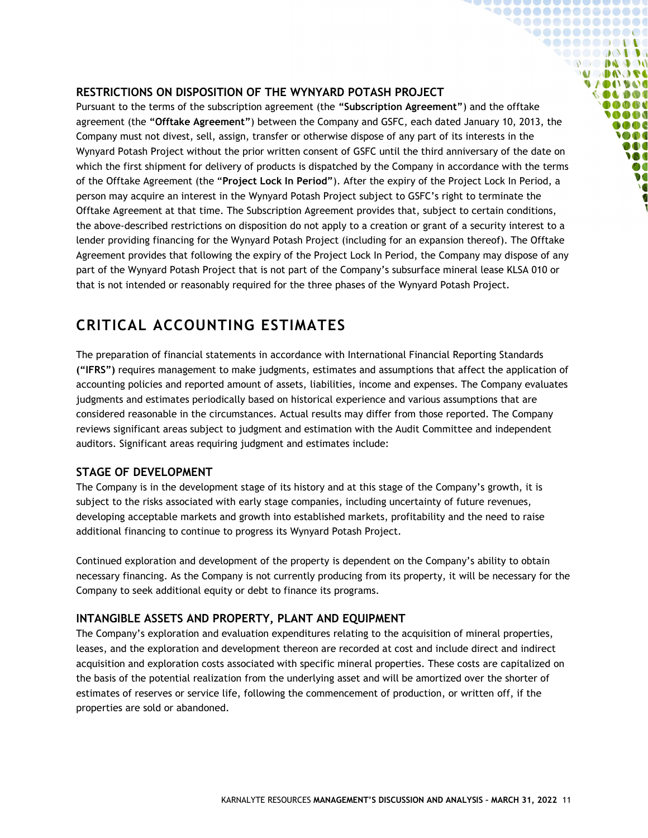#### <span id="page-10-0"></span>**RESTRICTIONS ON DISPOSITION OF THE WYNYARD POTASH PROJECT**

Pursuant to the terms of the subscription agreement (the **"Subscription Agreement"**) and the offtake agreement (the **"Offtake Agreement"**) between the Company and GSFC, each dated January 10, 2013, the Company must not divest, sell, assign, transfer or otherwise dispose of any part of its interests in the Wynyard Potash Project without the prior written consent of GSFC until the third anniversary of the date on which the first shipment for delivery of products is dispatched by the Company in accordance with the terms of the Offtake Agreement (the "**Project Lock In Period"**). After the expiry of the Project Lock In Period, a person may acquire an interest in the Wynyard Potash Project subject to GSFC's right to terminate the Offtake Agreement at that time. The Subscription Agreement provides that, subject to certain conditions, the above-described restrictions on disposition do not apply to a creation or grant of a security interest to a lender providing financing for the Wynyard Potash Project (including for an expansion thereof). The Offtake Agreement provides that following the expiry of the Project Lock In Period, the Company may dispose of any part of the Wynyard Potash Project that is not part of the Company's subsurface mineral lease KLSA 010 or that is not intended or reasonably required for the three phases of the Wynyard Potash Project.

**`@@@@@@@@@@@@@@@** 1000000000000  $\bullet \bullet \bullet \bullet \bullet \bullet \bullet \bullet \bullet \bullet \bullet \bullet \bullet$ SOOOOQODOG **OCO DA DO MODAGE VAOOVOO COLDOS** 10000 **OOO**  $0000$ **SOO** DOO **M**  $\boldsymbol{v}$ **V** 

### <span id="page-10-1"></span>**CRITICAL ACCOUNTING ESTIMATES**

The preparation of financial statements in accordance with International Financial Reporting Standards **("IFRS")** requires management to make judgments, estimates and assumptions that affect the application of accounting policies and reported amount of assets, liabilities, income and expenses. The Company evaluates judgments and estimates periodically based on historical experience and various assumptions that are considered reasonable in the circumstances. Actual results may differ from those reported. The Company reviews significant areas subject to judgment and estimation with the Audit Committee and independent auditors. Significant areas requiring judgment and estimates include:

#### <span id="page-10-2"></span>**STAGE OF DEVELOPMENT**

The Company is in the development stage of its history and at this stage of the Company's growth, it is subject to the risks associated with early stage companies, including uncertainty of future revenues, developing acceptable markets and growth into established markets, profitability and the need to raise additional financing to continue to progress its Wynyard Potash Project.

Continued exploration and development of the property is dependent on the Company's ability to obtain necessary financing. As the Company is not currently producing from its property, it will be necessary for the Company to seek additional equity or debt to finance its programs.

#### <span id="page-10-3"></span>**INTANGIBLE ASSETS AND PROPERTY, PLANT AND EQUIPMENT**

The Company's exploration and evaluation expenditures relating to the acquisition of mineral properties, leases, and the exploration and development thereon are recorded at cost and include direct and indirect acquisition and exploration costs associated with specific mineral properties. These costs are capitalized on the basis of the potential realization from the underlying asset and will be amortized over the shorter of estimates of reserves or service life, following the commencement of production, or written off, if the properties are sold or abandoned.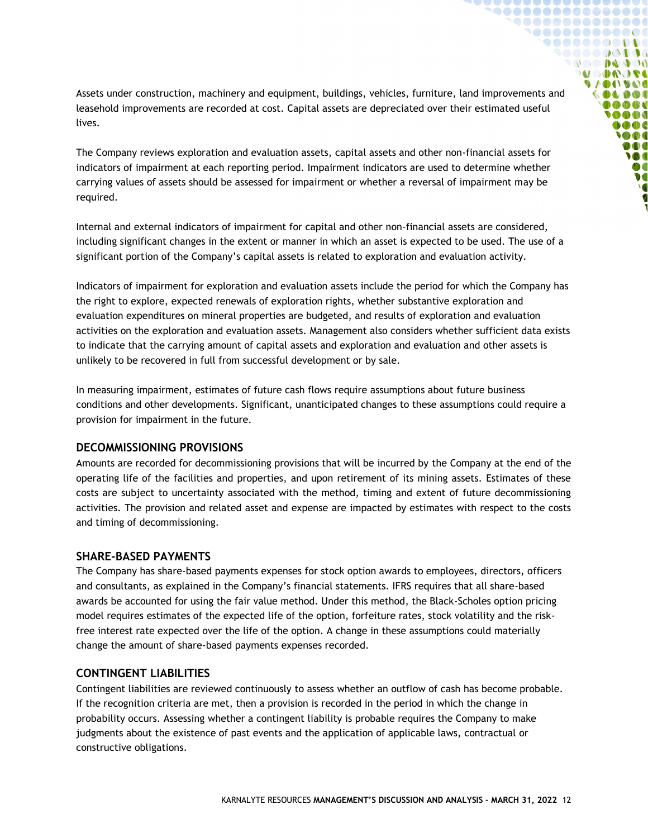Assets under construction, machinery and equipment, buildings, vehicles, furniture, land improvements and leasehold improvements are recorded at cost. Capital assets are depreciated over their estimated useful lives.

 ${\color{blue}\textbf{•} \textbf{0} \textbf{0} \textbf{0} \textbf{0} \textbf{0} \textbf{0} \textbf{0} \textbf{0} \textbf{0} \textbf{0} \textbf{0} \textbf{0} } {\color{blue}\textbf{0} \textbf{0} \textbf{0} \textbf{0} \textbf{0} } {\color{blue}\textbf{0} \textbf{0} \textbf{0} \textbf{0} } {\color{blue}\textbf{0} \textbf{0} \textbf{0} } {\color{blue}\textbf{0} \textbf{0} \textbf{0} } {\color{blue}\textbf{0} \textbf{0} \textbf{0} } {\color{blue$  ${\small \begin{array}{c} \bullet\bullet\bullet\bullet\bullet\bullet\bullet\bullet\bullet\bullet\bullet\bullet\bullet\bullet\bullet\bullet\end{array}}$ **`@@@@@@@@@@@ 90000000000** ,,,,,,,,,,, **DO DAD DO U DAOSE UACIDAD** OLDOC **@@@@** 0000  $\bullet$ **SOOT** DOO W ØO  $\bullet$ 

The Company reviews exploration and evaluation assets, capital assets and other non-financial assets for indicators of impairment at each reporting period. Impairment indicators are used to determine whether carrying values of assets should be assessed for impairment or whether a reversal of impairment may be required.

Internal and external indicators of impairment for capital and other non-financial assets are considered, including significant changes in the extent or manner in which an asset is expected to be used. The use of a significant portion of the Company's capital assets is related to exploration and evaluation activity.

Indicators of impairment for exploration and evaluation assets include the period for which the Company has the right to explore, expected renewals of exploration rights, whether substantive exploration and evaluation expenditures on mineral properties are budgeted, and results of exploration and evaluation activities on the exploration and evaluation assets. Management also considers whether sufficient data exists to indicate that the carrying amount of capital assets and exploration and evaluation and other assets is unlikely to be recovered in full from successful development or by sale.

In measuring impairment, estimates of future cash flows require assumptions about future business conditions and other developments. Significant, unanticipated changes to these assumptions could require a provision for impairment in the future.

#### <span id="page-11-0"></span>**DECOMMISSIONING PROVISIONS**

Amounts are recorded for decommissioning provisions that will be incurred by the Company at the end of the operating life of the facilities and properties, and upon retirement of its mining assets. Estimates of these costs are subject to uncertainty associated with the method, timing and extent of future decommissioning activities. The provision and related asset and expense are impacted by estimates with respect to the costs and timing of decommissioning.

#### <span id="page-11-1"></span>**SHARE-BASED PAYMENTS**

The Company has share-based payments expenses for stock option awards to employees, directors, officers and consultants, as explained in the Company's financial statements. IFRS requires that all share-based awards be accounted for using the fair value method. Under this method, the Black-Scholes option pricing model requires estimates of the expected life of the option, forfeiture rates, stock volatility and the riskfree interest rate expected over the life of the option. A change in these assumptions could materially change the amount of share-based payments expenses recorded.

#### <span id="page-11-2"></span>**CONTINGENT LIABILITIES**

Contingent liabilities are reviewed continuously to assess whether an outflow of cash has become probable. If the recognition criteria are met, then a provision is recorded in the period in which the change in probability occurs. Assessing whether a contingent liability is probable requires the Company to make judgments about the existence of past events and the application of applicable laws, contractual or constructive obligations.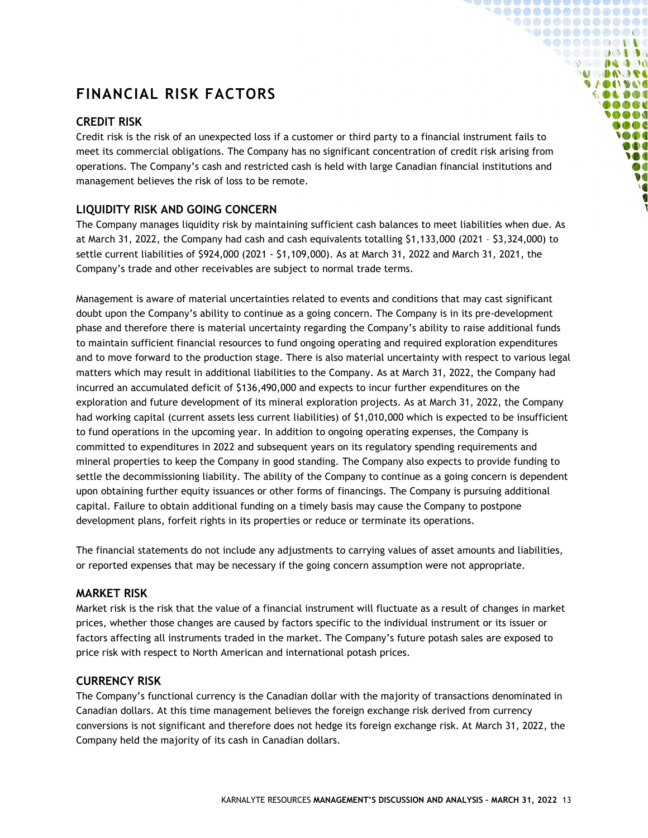# <span id="page-12-0"></span>**FINANCIAL RISK FACTORS**

#### <span id="page-12-1"></span>**CREDIT RISK**

Credit risk is the risk of an unexpected loss if a customer or third party to a financial instrument fails to meet its commercial obligations. The Company has no significant concentration of credit risk arising from operations. The Company's cash and restricted cash is held with large Canadian financial institutions and management believes the risk of loss to be remote.

**`@@@@@@@@@@@@@@** 1000000000000  $\bullet \bullet \bullet \bullet \bullet \bullet \bullet \bullet \bullet \bullet \bullet \bullet \bullet$ SOOOOQODOG **OC DE DO DO MODOJE VAOOVOO** 000000 0000 **OOO**  $\bullet$   $\bullet$   $\bullet$ **SOO** DOO W Ø  $\bullet$ 

#### <span id="page-12-2"></span>**LIQUIDITY RISK AND GOING CONCERN**

The Company manages liquidity risk by maintaining sufficient cash balances to meet liabilities when due. As at March 31, 2022, the Company had cash and cash equivalents totalling \$1,133,000 (2021 – \$3,324,000) to settle current liabilities of \$924,000 (2021 - \$1,109,000). As at March 31, 2022 and March 31, 2021, the Company's trade and other receivables are subject to normal trade terms.

Management is aware of material uncertainties related to events and conditions that may cast significant doubt upon the Company's ability to continue as a going concern. The Company is in its pre-development phase and therefore there is material uncertainty regarding the Company's ability to raise additional funds to maintain sufficient financial resources to fund ongoing operating and required exploration expenditures and to move forward to the production stage. There is also material uncertainty with respect to various legal matters which may result in additional liabilities to the Company. As at March 31, 2022, the Company had incurred an accumulated deficit of \$136,490,000 and expects to incur further expenditures on the exploration and future development of its mineral exploration projects. As at March 31, 2022, the Company had working capital (current assets less current liabilities) of \$1,010,000 which is expected to be insufficient to fund operations in the upcoming year. In addition to ongoing operating expenses, the Company is committed to expenditures in 2022 and subsequent years on its regulatory spending requirements and mineral properties to keep the Company in good standing. The Company also expects to provide funding to settle the decommissioning liability. The ability of the Company to continue as a going concern is dependent upon obtaining further equity issuances or other forms of financings. The Company is pursuing additional capital. Failure to obtain additional funding on a timely basis may cause the Company to postpone development plans, forfeit rights in its properties or reduce or terminate its operations.

The financial statements do not include any adjustments to carrying values of asset amounts and liabilities, or reported expenses that may be necessary if the going concern assumption were not appropriate.

#### <span id="page-12-3"></span>**MARKET RISK**

Market risk is the risk that the value of a financial instrument will fluctuate as a result of changes in market prices, whether those changes are caused by factors specific to the individual instrument or its issuer or factors affecting all instruments traded in the market. The Company's future potash sales are exposed to price risk with respect to North American and international potash prices.

#### <span id="page-12-4"></span>**CURRENCY RISK**

The Company's functional currency is the Canadian dollar with the majority of transactions denominated in Canadian dollars. At this time management believes the foreign exchange risk derived from currency conversions is not significant and therefore does not hedge its foreign exchange risk. At March 31, 2022, the Company held the majority of its cash in Canadian dollars.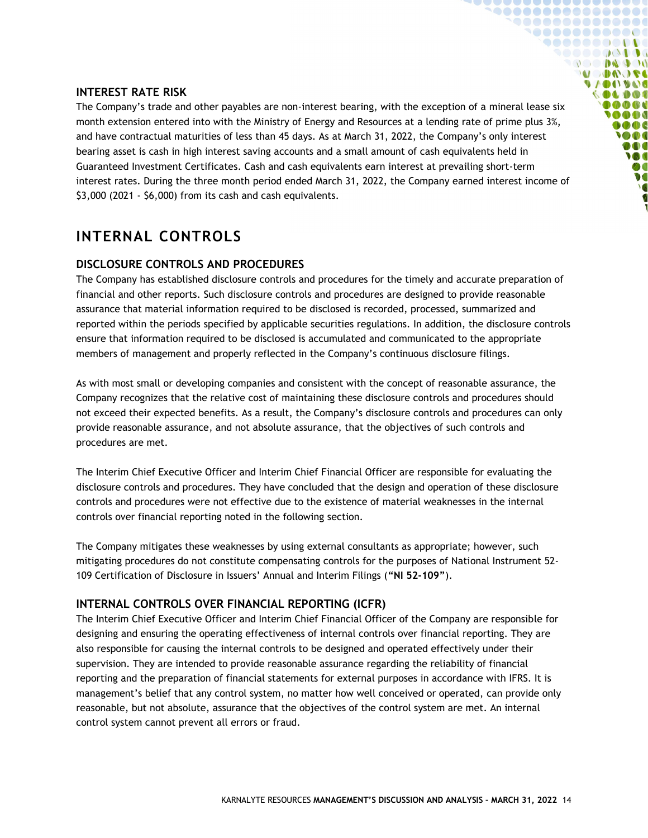#### <span id="page-13-0"></span>**INTEREST RATE RISK**

The Company's trade and other payables are non-interest bearing, with the exception of a mineral lease six month extension entered into with the Ministry of Energy and Resources at a lending rate of prime plus 3%, and have contractual maturities of less than 45 days. As at March 31, 2022, the Company's only interest bearing asset is cash in high interest saving accounts and a small amount of cash equivalents held in Guaranteed Investment Certificates. Cash and cash equivalents earn interest at prevailing short-term interest rates. During the three month period ended March 31, 2022, the Company earned interest income of \$3,000 (2021 - \$6,000) from its cash and cash equivalents.

**`@@@@@@@@@@@@@@ `@@@@@@@@@@@ 900000000000** SOOOOQODOG **OC DE DO DO MODUO A UACIDAD COLDOL @@@@** 0000  $\bullet \bullet \bullet$ **SOO** DOO **M**  $\boldsymbol{v}$ **V** 

## <span id="page-13-1"></span>**INTERNAL CONTROLS**

#### <span id="page-13-2"></span>**DISCLOSURE CONTROLS AND PROCEDURES**

The Company has established disclosure controls and procedures for the timely and accurate preparation of financial and other reports. Such disclosure controls and procedures are designed to provide reasonable assurance that material information required to be disclosed is recorded, processed, summarized and reported within the periods specified by applicable securities regulations. In addition, the disclosure controls ensure that information required to be disclosed is accumulated and communicated to the appropriate members of management and properly reflected in the Company's continuous disclosure filings.

As with most small or developing companies and consistent with the concept of reasonable assurance, the Company recognizes that the relative cost of maintaining these disclosure controls and procedures should not exceed their expected benefits. As a result, the Company's disclosure controls and procedures can only provide reasonable assurance, and not absolute assurance, that the objectives of such controls and procedures are met.

The Interim Chief Executive Officer and Interim Chief Financial Officer are responsible for evaluating the disclosure controls and procedures. They have concluded that the design and operation of these disclosure controls and procedures were not effective due to the existence of material weaknesses in the internal controls over financial reporting noted in the following section.

The Company mitigates these weaknesses by using external consultants as appropriate; however, such mitigating procedures do not constitute compensating controls for the purposes of National Instrument 52- 109 Certification of Disclosure in Issuers' Annual and Interim Filings (**"NI 52-109"**).

#### <span id="page-13-3"></span>**INTERNAL CONTROLS OVER FINANCIAL REPORTING (ICFR)**

The Interim Chief Executive Officer and Interim Chief Financial Officer of the Company are responsible for designing and ensuring the operating effectiveness of internal controls over financial reporting. They are also responsible for causing the internal controls to be designed and operated effectively under their supervision. They are intended to provide reasonable assurance regarding the reliability of financial reporting and the preparation of financial statements for external purposes in accordance with IFRS. It is management's belief that any control system, no matter how well conceived or operated, can provide only reasonable, but not absolute, assurance that the objectives of the control system are met. An internal control system cannot prevent all errors or fraud.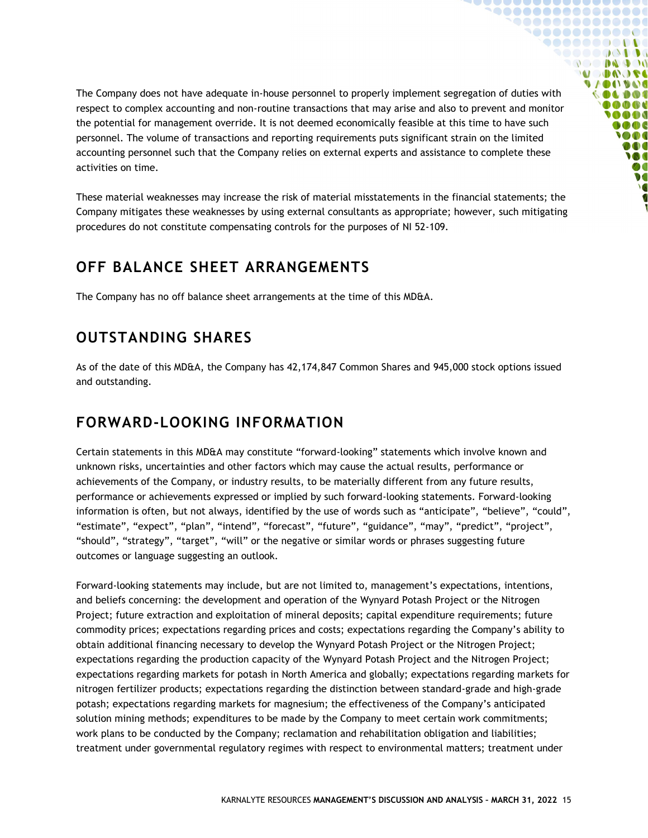The Company does not have adequate in-house personnel to properly implement segregation of duties with respect to complex accounting and non-routine transactions that may arise and also to prevent and monitor the potential for management override. It is not deemed economically feasible at this time to have such personnel. The volume of transactions and reporting requirements puts significant strain on the limited accounting personnel such that the Company relies on external experts and assistance to complete these activities on time.

 ${\small \begin{array}{@{}c@{\hspace{1em}}l} \multicolumn{1}{c}{} & \multicolumn{1}{c}{} & \multicolumn{1}{c}{} & \multicolumn{1}{c}{} & \multicolumn{1}{c}{} & \multicolumn{1}{c}{} & \multicolumn{1}{c}{} & \multicolumn{1}{c}{} & \multicolumn{1}{c}{} & \multicolumn{1}{c}{} & \multicolumn{1}{c}{} & \multicolumn{1}{c}{} & \multicolumn{1}{c}{} & \multicolumn{1}{c}{} & \multicolumn{1}{c}{} & \multicolumn{1}{c}{} & \multicolumn{1}{c}{} & \multicolumn{1}{c}{} & \mult$ **`@@@@@@@@@@@ 90000000000** ◥◓◓◓◓◓◶◔▮◑◑ **OC DE DO DO MODO DE VAOOVOO**  $\bullet$  0 0 0 0 0 0 0 0 0  $0000$ 0000  $0000$ **SOO** DOO **M**  $\boldsymbol{v}$ **V** 

These material weaknesses may increase the risk of material misstatements in the financial statements; the Company mitigates these weaknesses by using external consultants as appropriate; however, such mitigating procedures do not constitute compensating controls for the purposes of NI 52-109.

### <span id="page-14-0"></span>**OFF BALANCE SHEET ARRANGEMENTS**

The Company has no off balance sheet arrangements at the time of this MD&A.

## <span id="page-14-1"></span>**OUTSTANDING SHARES**

As of the date of this MD&A, the Company has 42,174,847 Common Shares and 945,000 stock options issued and outstanding.

# <span id="page-14-2"></span>**FORWARD-LOOKING INFORMATION**

Certain statements in this MD&A may constitute "forward-looking" statements which involve known and unknown risks, uncertainties and other factors which may cause the actual results, performance or achievements of the Company, or industry results, to be materially different from any future results, performance or achievements expressed or implied by such forward-looking statements. Forward-looking information is often, but not always, identified by the use of words such as "anticipate", "believe", "could", "estimate", "expect", "plan", "intend", "forecast", "future", "guidance", "may", "predict", "project", "should", "strategy", "target", "will" or the negative or similar words or phrases suggesting future outcomes or language suggesting an outlook.

Forward-looking statements may include, but are not limited to, management's expectations, intentions, and beliefs concerning: the development and operation of the Wynyard Potash Project or the Nitrogen Project; future extraction and exploitation of mineral deposits; capital expenditure requirements; future commodity prices; expectations regarding prices and costs; expectations regarding the Company's ability to obtain additional financing necessary to develop the Wynyard Potash Project or the Nitrogen Project; expectations regarding the production capacity of the Wynyard Potash Project and the Nitrogen Project; expectations regarding markets for potash in North America and globally; expectations regarding markets for nitrogen fertilizer products; expectations regarding the distinction between standard-grade and high-grade potash; expectations regarding markets for magnesium; the effectiveness of the Company's anticipated solution mining methods; expenditures to be made by the Company to meet certain work commitments; work plans to be conducted by the Company; reclamation and rehabilitation obligation and liabilities; treatment under governmental regulatory regimes with respect to environmental matters; treatment under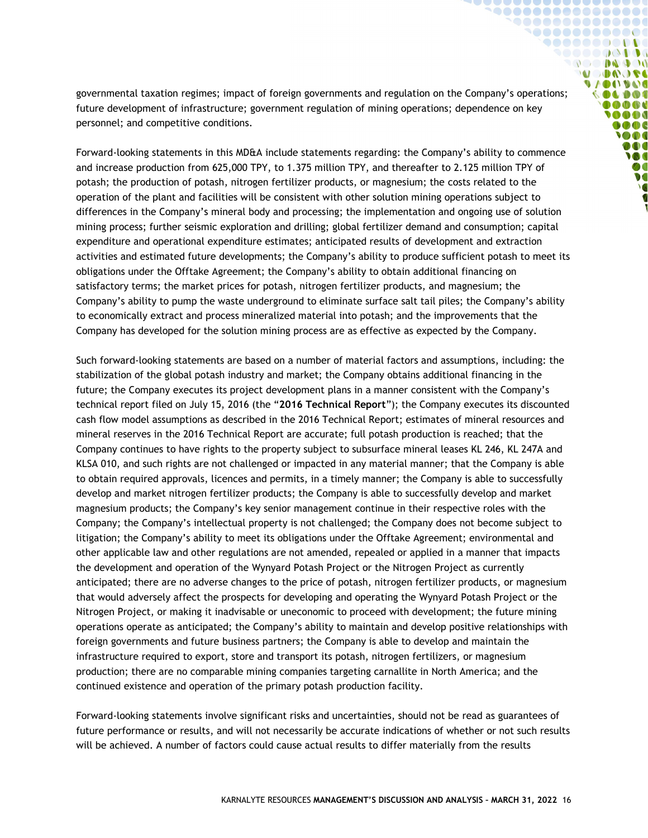governmental taxation regimes; impact of foreign governments and regulation on the Company's operations; future development of infrastructure; government regulation of mining operations; dependence on key personnel; and competitive conditions.

**`@@@@@@@@@@@@@@@** 1000000000000 **900000000000** SOOOOQODOG **OCO DA DO MODOJE VACOUVAC** 000000 0000 **SOOO MOOC SOO** DOO **M**  $\bullet$  $\overline{\ }$ 

Forward-looking statements in this MD&A include statements regarding: the Company's ability to commence and increase production from 625,000 TPY, to 1.375 million TPY, and thereafter to 2.125 million TPY of potash; the production of potash, nitrogen fertilizer products, or magnesium; the costs related to the operation of the plant and facilities will be consistent with other solution mining operations subject to differences in the Company's mineral body and processing; the implementation and ongoing use of solution mining process; further seismic exploration and drilling; global fertilizer demand and consumption; capital expenditure and operational expenditure estimates; anticipated results of development and extraction activities and estimated future developments; the Company's ability to produce sufficient potash to meet its obligations under the Offtake Agreement; the Company's ability to obtain additional financing on satisfactory terms; the market prices for potash, nitrogen fertilizer products, and magnesium; the Company's ability to pump the waste underground to eliminate surface salt tail piles; the Company's ability to economically extract and process mineralized material into potash; and the improvements that the Company has developed for the solution mining process are as effective as expected by the Company.

Such forward-looking statements are based on a number of material factors and assumptions, including: the stabilization of the global potash industry and market; the Company obtains additional financing in the future; the Company executes its project development plans in a manner consistent with the Company's technical report filed on July 15, 2016 (the "**2016 Technical Report**"); the Company executes its discounted cash flow model assumptions as described in the 2016 Technical Report; estimates of mineral resources and mineral reserves in the 2016 Technical Report are accurate; full potash production is reached; that the Company continues to have rights to the property subject to subsurface mineral leases KL 246, KL 247A and KLSA 010, and such rights are not challenged or impacted in any material manner; that the Company is able to obtain required approvals, licences and permits, in a timely manner; the Company is able to successfully develop and market nitrogen fertilizer products; the Company is able to successfully develop and market magnesium products; the Company's key senior management continue in their respective roles with the Company; the Company's intellectual property is not challenged; the Company does not become subject to litigation; the Company's ability to meet its obligations under the Offtake Agreement; environmental and other applicable law and other regulations are not amended, repealed or applied in a manner that impacts the development and operation of the Wynyard Potash Project or the Nitrogen Project as currently anticipated; there are no adverse changes to the price of potash, nitrogen fertilizer products, or magnesium that would adversely affect the prospects for developing and operating the Wynyard Potash Project or the Nitrogen Project, or making it inadvisable or uneconomic to proceed with development; the future mining operations operate as anticipated; the Company's ability to maintain and develop positive relationships with foreign governments and future business partners; the Company is able to develop and maintain the infrastructure required to export, store and transport its potash, nitrogen fertilizers, or magnesium production; there are no comparable mining companies targeting carnallite in North America; and the continued existence and operation of the primary potash production facility.

Forward-looking statements involve significant risks and uncertainties, should not be read as guarantees of future performance or results, and will not necessarily be accurate indications of whether or not such results will be achieved. A number of factors could cause actual results to differ materially from the results